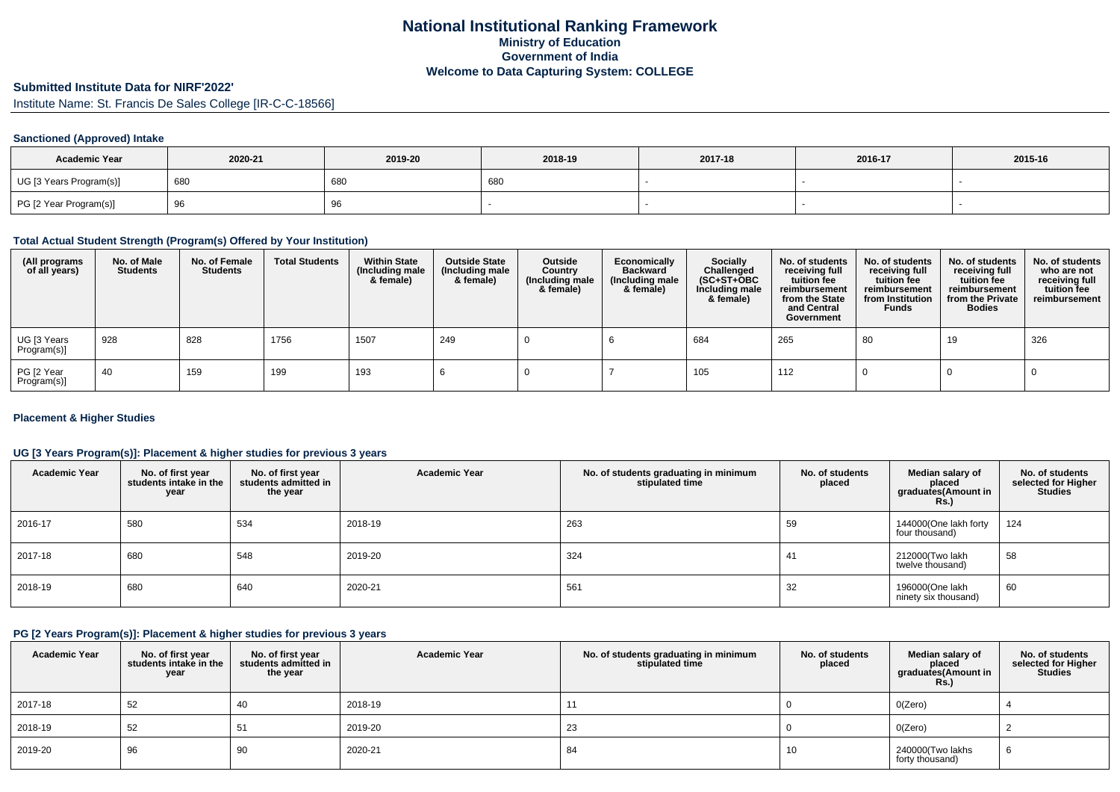# **Submitted Institute Data for NIRF'2022'**

Institute Name: St. Francis De Sales College [IR-C-C-18566]

#### **Sanctioned (Approved) Intake**

| <b>Academic Year</b>    | 2020-21 | 2019-20 | 2018-19 | 2017-18 | 2016-17 | 2015-16 |
|-------------------------|---------|---------|---------|---------|---------|---------|
| UG [3 Years Program(s)] | 680     | 680     | 680     |         |         |         |
| PG [2 Year Program(s)]  | ູບ      | ອບ      |         |         |         |         |

### **Total Actual Student Strength (Program(s) Offered by Your Institution)**

| (All programs<br>of all years) | No. of Male<br><b>Students</b> | No. of Female<br><b>Students</b> | <b>Total Students</b> | <b>Within State</b><br>(Including male<br>& female) | <b>Outside State</b><br>(Including male<br>& female) | Outside<br>Country<br>(Including male<br>& female) | Economically<br><b>Backward</b><br>(Including male<br>& female) | <b>Socially</b><br>Challenged<br>$(SC+ST+OBC)$<br>Including male<br>& female) | No. of students<br>receiving full<br>tuition fee<br>reimbursement<br>from the State<br>and Central<br>Government | No. of students<br>receiving full<br>tuition fee<br>reimbursement<br>from Institution<br><b>Funds</b> | No. of students<br>receiving full<br>tuition fee<br>reimbursement<br>from the Private<br><b>Bodies</b> | No. of students<br>who are not<br>receiving full<br>tuition fee<br>reimbursement |
|--------------------------------|--------------------------------|----------------------------------|-----------------------|-----------------------------------------------------|------------------------------------------------------|----------------------------------------------------|-----------------------------------------------------------------|-------------------------------------------------------------------------------|------------------------------------------------------------------------------------------------------------------|-------------------------------------------------------------------------------------------------------|--------------------------------------------------------------------------------------------------------|----------------------------------------------------------------------------------|
| UG [3 Years<br>Program(s)]     | 928                            | 828                              | 1756                  | 1507                                                | 249                                                  |                                                    |                                                                 | 684                                                                           | 265                                                                                                              | 80                                                                                                    | 19                                                                                                     | 326                                                                              |
| PG [2 Year<br>Program(s)]      | -40                            | 159                              | 199                   | 193                                                 |                                                      |                                                    |                                                                 | 105                                                                           | 112                                                                                                              |                                                                                                       |                                                                                                        |                                                                                  |

#### **Placement & Higher Studies**

#### **UG [3 Years Program(s)]: Placement & higher studies for previous 3 years**

| <b>Academic Year</b> | No. of first year<br>students intake in the<br>year | No. of first year<br>students admitted in<br>the year | <b>Academic Year</b> | No. of students graduating in minimum<br>stipulated time | No. of students<br>placed | Median salary of<br>placed<br>graduates (Amount in<br><b>Rs.</b> ) | No. of students<br>selected for Higher<br><b>Studies</b> |
|----------------------|-----------------------------------------------------|-------------------------------------------------------|----------------------|----------------------------------------------------------|---------------------------|--------------------------------------------------------------------|----------------------------------------------------------|
| 2016-17              | 580                                                 | 534                                                   | 2018-19              | 263                                                      | 59                        | 144000(One lakh forty<br>four thousand)                            | 124                                                      |
| 2017-18              | 680                                                 | 548                                                   | 2019-20              | 324                                                      | 41                        | 212000 (Two lakh<br>twelve thousand)                               | 58                                                       |
| 2018-19              | 680                                                 | 640                                                   | 2020-21              | 561                                                      | 32                        | 196000(One lakh<br>ninety six thousand)                            | 60                                                       |

### **PG [2 Years Program(s)]: Placement & higher studies for previous 3 years**

| <b>Academic Year</b> | No. of first year<br>students intake in the<br>year | No. of first vear<br>students admitted in<br>the year | <b>Academic Year</b> | No. of students graduating in minimum<br>stipulated time | No. of students<br>placed | Median salary of<br>placed<br>graduates(Amount in<br><b>Rs.)</b> | No. of students<br>selected for Higher<br><b>Studies</b> |
|----------------------|-----------------------------------------------------|-------------------------------------------------------|----------------------|----------------------------------------------------------|---------------------------|------------------------------------------------------------------|----------------------------------------------------------|
| 2017-18              | 52                                                  | 40                                                    | 2018-19              | 11                                                       |                           | O(Zero)                                                          |                                                          |
| 2018-19              | 52                                                  | 51                                                    | 2019-20              | 23                                                       |                           | O(Zero)                                                          |                                                          |
| 2019-20              | 96                                                  | 90                                                    | 2020-21              | 84                                                       | 10                        | 240000(Two lakhs<br>forty thousand)                              | O                                                        |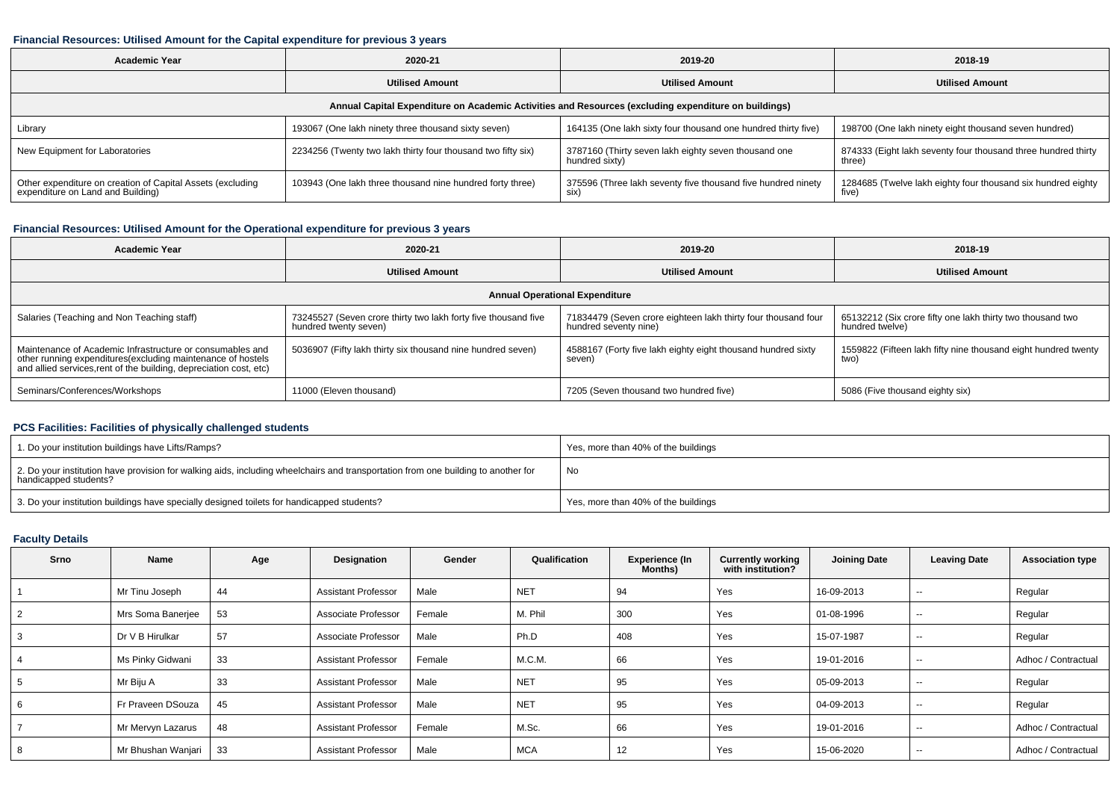#### **Financial Resources: Utilised Amount for the Capital expenditure for previous 3 years**

| Academic Year<br>2020-21                                                                             |                                                              | 2019-20                                                                | 2018-19                                                                 |  |  |  |  |  |  |
|------------------------------------------------------------------------------------------------------|--------------------------------------------------------------|------------------------------------------------------------------------|-------------------------------------------------------------------------|--|--|--|--|--|--|
|                                                                                                      | <b>Utilised Amount</b>                                       | <b>Utilised Amount</b>                                                 | <b>Utilised Amount</b>                                                  |  |  |  |  |  |  |
| Annual Capital Expenditure on Academic Activities and Resources (excluding expenditure on buildings) |                                                              |                                                                        |                                                                         |  |  |  |  |  |  |
| Library                                                                                              | 193067 (One lakh ninety three thousand sixty seven)          | 164135 (One lakh sixty four thousand one hundred thirty five)          | 198700 (One lakh ninety eight thousand seven hundred)                   |  |  |  |  |  |  |
| New Equipment for Laboratories                                                                       | 2234256 (Twenty two lakh thirty four thousand two fifty six) | 3787160 (Thirty seven lakh eighty seven thousand one<br>hundred sixty) | 874333 (Eight lakh seventy four thousand three hundred thirty<br>three) |  |  |  |  |  |  |
| Other expenditure on creation of Capital Assets (excluding<br>expenditure on Land and Building)      | 103943 (One lakh three thousand nine hundred forty three)    | 375596 (Three lakh seventy five thousand five hundred ninety<br>SIX)   | 1284685 (Twelve lakh eighty four thousand six hundred eighty<br>five)   |  |  |  |  |  |  |

#### **Financial Resources: Utilised Amount for the Operational expenditure for previous 3 years**

| 2020-21<br><b>Academic Year</b>                                                                                                                                                                 |                                                                                         | 2019-20                                                                                | 2018-19                                                                       |  |  |  |  |  |  |
|-------------------------------------------------------------------------------------------------------------------------------------------------------------------------------------------------|-----------------------------------------------------------------------------------------|----------------------------------------------------------------------------------------|-------------------------------------------------------------------------------|--|--|--|--|--|--|
|                                                                                                                                                                                                 | <b>Utilised Amount</b>                                                                  | <b>Utilised Amount</b>                                                                 | <b>Utilised Amount</b>                                                        |  |  |  |  |  |  |
| <b>Annual Operational Expenditure</b>                                                                                                                                                           |                                                                                         |                                                                                        |                                                                               |  |  |  |  |  |  |
| Salaries (Teaching and Non Teaching staff)                                                                                                                                                      | 73245527 (Seven crore thirty two lakh forty five thousand five<br>hundred twenty seven) | 71834479 (Seven crore eighteen lakh thirty four thousand four<br>hundred seventy nine) | 65132212 (Six crore fifty one lakh thirty two thousand two<br>hundred twelve) |  |  |  |  |  |  |
| Maintenance of Academic Infrastructure or consumables and<br>other running expenditures (excluding maintenance of hostels<br>and allied services, rent of the building, depreciation cost, etc) | 5036907 (Fifty lakh thirty six thousand nine hundred seven)                             | 4588167 (Forty five lakh eighty eight thousand hundred sixty<br>seven)                 | 1559822 (Fifteen lakh fifty nine thousand eight hundred twenty<br>two)        |  |  |  |  |  |  |
| Seminars/Conferences/Workshops                                                                                                                                                                  | 11000 (Eleven thousand)                                                                 | 7205 (Seven thousand two hundred five)                                                 | 5086 (Five thousand eighty six)                                               |  |  |  |  |  |  |

## **PCS Facilities: Facilities of physically challenged students**

| 1. Do your institution buildings have Lifts/Ramps?                                                                                                         | Yes, more than 40% of the buildings |
|------------------------------------------------------------------------------------------------------------------------------------------------------------|-------------------------------------|
| 2. Do your institution have provision for walking aids, including wheelchairs and transportation from one building to another for<br>handicapped students? | No                                  |
| 3. Do your institution buildings have specially designed toilets for handicapped students?                                                                 | Yes, more than 40% of the buildings |

### **Faculty Details**

| Srno | Name               | Age | Designation                | Gender | Qualification | <b>Experience (In</b><br><b>Months</b> ) | <b>Currently working</b><br>with institution? | <b>Joining Date</b> | <b>Leaving Date</b> | <b>Association type</b> |
|------|--------------------|-----|----------------------------|--------|---------------|------------------------------------------|-----------------------------------------------|---------------------|---------------------|-------------------------|
|      | Mr Tinu Joseph     | 44  | <b>Assistant Professor</b> | Male   | <b>NET</b>    | 94                                       | Yes                                           | 16-09-2013          | $\sim$              | Regular                 |
|      | Mrs Soma Banerjee  | 53  | Associate Professor        | Female | M. Phil       | 300                                      | Yes                                           | 01-08-1996          | $- -$               | Regular                 |
| 3    | Dr V B Hirulkar    | 57  | Associate Professor        | Male   | Ph.D          | 408                                      | Yes                                           | 15-07-1987          | $\sim$              | Regular                 |
|      | Ms Pinky Gidwani   | 33  | <b>Assistant Professor</b> | Female | M.C.M.        | 66                                       | Yes                                           | 19-01-2016          | $- -$               | Adhoc / Contractual     |
|      | Mr Biju A          | 33  | <b>Assistant Professor</b> | Male   | <b>NET</b>    | 95                                       | Yes                                           | 05-09-2013          | $\sim$              | Regular                 |
| 6    | Fr Praveen DSouza  | 45  | <b>Assistant Professor</b> | Male   | <b>NET</b>    | 95                                       | Yes                                           | 04-09-2013          | $- -$               | Regular                 |
|      | Mr Mervyn Lazarus  | 48  | <b>Assistant Professor</b> | Female | M.Sc.         | 66                                       | Yes                                           | 19-01-2016          | $- -$               | Adhoc / Contractual     |
| 8    | Mr Bhushan Wanjari | 33  | <b>Assistant Professor</b> | Male   | <b>MCA</b>    | 12                                       | Yes                                           | 15-06-2020          | $- -$               | Adhoc / Contractual     |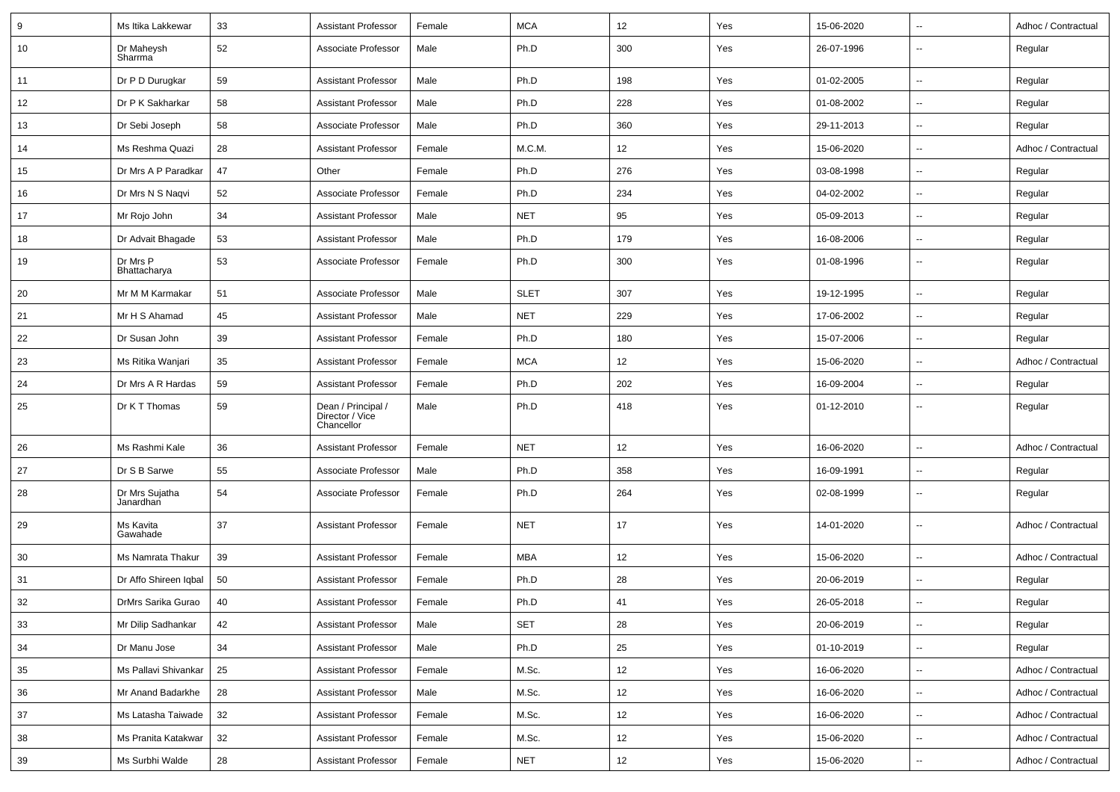| 9  | Ms Itika Lakkewar           | 33 | <b>Assistant Professor</b>                          | Female | <b>MCA</b>  | 12  | Yes | 15-06-2020 | $\overline{\phantom{a}}$ | Adhoc / Contractual |
|----|-----------------------------|----|-----------------------------------------------------|--------|-------------|-----|-----|------------|--------------------------|---------------------|
| 10 | Dr Maheysh<br>Sharrma       | 52 | Associate Professor                                 | Male   | Ph.D        | 300 | Yes | 26-07-1996 | $\overline{\phantom{a}}$ | Regular             |
| 11 | Dr P D Durugkar             | 59 | <b>Assistant Professor</b>                          | Male   | Ph.D        | 198 | Yes | 01-02-2005 | $\overline{\phantom{a}}$ | Regular             |
| 12 | Dr P K Sakharkar            | 58 | <b>Assistant Professor</b>                          | Male   | Ph.D        | 228 | Yes | 01-08-2002 | ÷.                       | Regular             |
| 13 | Dr Sebi Joseph              | 58 | Associate Professor                                 | Male   | Ph.D        | 360 | Yes | 29-11-2013 | $\overline{\phantom{a}}$ | Regular             |
| 14 | Ms Reshma Quazi             | 28 | <b>Assistant Professor</b>                          | Female | M.C.M.      | 12  | Yes | 15-06-2020 | $\overline{\phantom{a}}$ | Adhoc / Contractual |
| 15 | Dr Mrs A P Paradkar         | 47 | Other                                               | Female | Ph.D        | 276 | Yes | 03-08-1998 | ÷.                       | Regular             |
| 16 | Dr Mrs N S Naqvi            | 52 | Associate Professor                                 | Female | Ph.D        | 234 | Yes | 04-02-2002 | $\overline{\phantom{a}}$ | Regular             |
| 17 | Mr Rojo John                | 34 | <b>Assistant Professor</b>                          | Male   | <b>NET</b>  | 95  | Yes | 05-09-2013 | $\overline{\phantom{a}}$ | Regular             |
| 18 | Dr Advait Bhagade           | 53 | <b>Assistant Professor</b>                          | Male   | Ph.D        | 179 | Yes | 16-08-2006 | $\overline{\phantom{a}}$ | Regular             |
| 19 | Dr Mrs P<br>Bhattacharya    | 53 | Associate Professor                                 | Female | Ph.D        | 300 | Yes | 01-08-1996 | $\overline{\phantom{a}}$ | Regular             |
| 20 | Mr M M Karmakar             | 51 | Associate Professor                                 | Male   | <b>SLET</b> | 307 | Yes | 19-12-1995 | $\overline{\phantom{a}}$ | Regular             |
| 21 | Mr H S Ahamad               | 45 | <b>Assistant Professor</b>                          | Male   | <b>NET</b>  | 229 | Yes | 17-06-2002 | $\overline{\phantom{a}}$ | Regular             |
| 22 | Dr Susan John               | 39 | <b>Assistant Professor</b>                          | Female | Ph.D        | 180 | Yes | 15-07-2006 | ÷.                       | Regular             |
| 23 | Ms Ritika Wanjari           | 35 | <b>Assistant Professor</b>                          | Female | <b>MCA</b>  | 12  | Yes | 15-06-2020 | $\overline{\phantom{a}}$ | Adhoc / Contractual |
| 24 | Dr Mrs A R Hardas           | 59 | <b>Assistant Professor</b>                          | Female | Ph.D        | 202 | Yes | 16-09-2004 | $\overline{\phantom{a}}$ | Regular             |
| 25 | Dr K T Thomas               | 59 | Dean / Principal /<br>Director / Vice<br>Chancellor | Male   | Ph.D        | 418 | Yes | 01-12-2010 | $\overline{\phantom{a}}$ | Regular             |
| 26 | Ms Rashmi Kale              | 36 | <b>Assistant Professor</b>                          | Female | <b>NET</b>  | 12  | Yes | 16-06-2020 | $\overline{\phantom{a}}$ | Adhoc / Contractual |
| 27 | Dr S B Sarwe                | 55 | Associate Professor                                 | Male   | Ph.D        | 358 | Yes | 16-09-1991 | $\overline{\phantom{a}}$ | Regular             |
| 28 | Dr Mrs Sujatha<br>Janardhan | 54 | Associate Professor                                 | Female | Ph.D        | 264 | Yes | 02-08-1999 | $\overline{\phantom{a}}$ | Regular             |
| 29 | Ms Kavita<br>Gawahade       | 37 | <b>Assistant Professor</b>                          | Female | <b>NET</b>  | 17  | Yes | 14-01-2020 | $\overline{\phantom{a}}$ | Adhoc / Contractual |
| 30 | Ms Namrata Thakur           | 39 | <b>Assistant Professor</b>                          | Female | <b>MBA</b>  | 12  | Yes | 15-06-2020 | $\overline{\phantom{a}}$ | Adhoc / Contractual |
| 31 | Dr Affo Shireen Iqbal       | 50 | <b>Assistant Professor</b>                          | Female | Ph.D        | 28  | Yes | 20-06-2019 | $\overline{\phantom{a}}$ | Regular             |
| 32 | DrMrs Sarika Gurao          | 40 | <b>Assistant Professor</b>                          | Female | Ph.D        | 41  | Yes | 26-05-2018 | $\overline{\phantom{a}}$ | Regular             |
| 33 | Mr Dilip Sadhankar          | 42 | <b>Assistant Professor</b>                          | Male   | <b>SET</b>  | 28  | Yes | 20-06-2019 | $\overline{\phantom{a}}$ | Regular             |
| 34 | Dr Manu Jose                | 34 | <b>Assistant Professor</b>                          | Male   | Ph.D        | 25  | Yes | 01-10-2019 | н,                       | Regular             |
| 35 | Ms Pallavi Shivankar        | 25 | <b>Assistant Professor</b>                          | Female | M.Sc.       | 12  | Yes | 16-06-2020 | н,                       | Adhoc / Contractual |
| 36 | Mr Anand Badarkhe           | 28 | <b>Assistant Professor</b>                          | Male   | M.Sc.       | 12  | Yes | 16-06-2020 | $\overline{\phantom{a}}$ | Adhoc / Contractual |
| 37 | Ms Latasha Taiwade          | 32 | <b>Assistant Professor</b>                          | Female | M.Sc.       | 12  | Yes | 16-06-2020 | $\overline{\phantom{a}}$ | Adhoc / Contractual |
| 38 | Ms Pranita Katakwar         | 32 | <b>Assistant Professor</b>                          | Female | M.Sc.       | 12  | Yes | 15-06-2020 | $\overline{\phantom{a}}$ | Adhoc / Contractual |
| 39 | Ms Surbhi Walde             | 28 | <b>Assistant Professor</b>                          | Female | <b>NET</b>  | 12  | Yes | 15-06-2020 | $\overline{\phantom{a}}$ | Adhoc / Contractual |